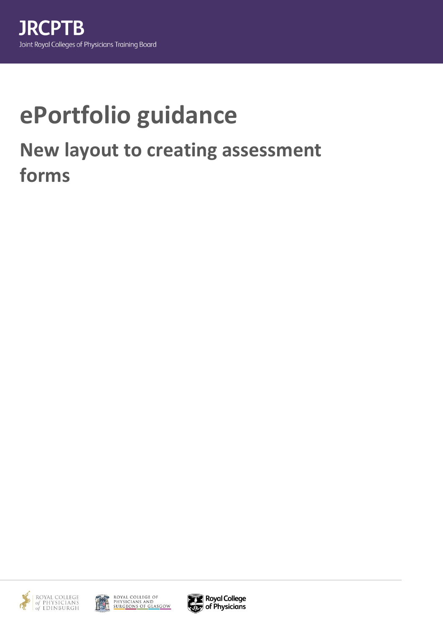# **ePortfolio guidance New layout to creating assessment forms**





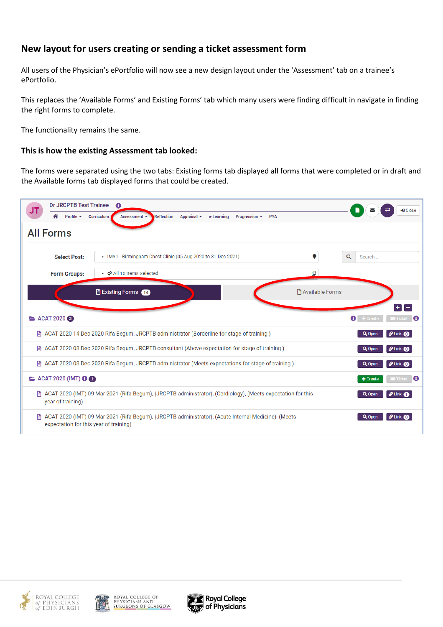# **New layout for users creating or sending a ticket assessment form**

All users of the Physician's ePortfolio will now see a new design layout under the 'Assessment' tab on a trainee's ePortfolio.

This replaces the 'Available Forms' and Existing Forms' tab which many users were finding difficult in navigate in finding the right forms to complete.

The functionality remains the same.

## **This is how the existing Assessment tab looked:**

The forms were separated using the two tabs: Existing forms tab displayed all forms that were completed or in draft and the Available forms tab displayed forms that could be created.







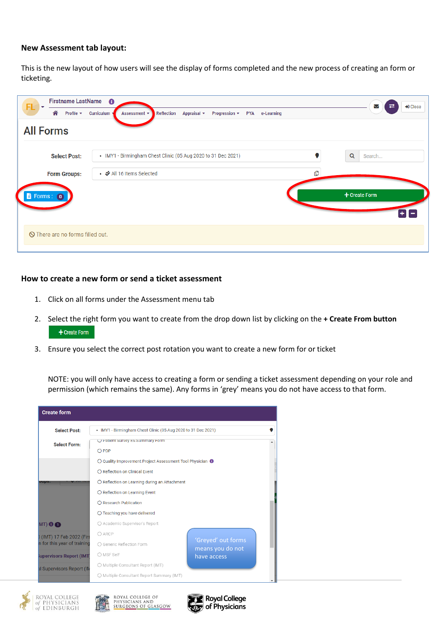### **New Assessment tab layout:**

This is the new layout of how users will see the display of forms completed and the new process of creating an form or ticketing.

| Firstname LastName 6<br>FL<br>M  |                                                                                                                              |               | +D Close |
|----------------------------------|------------------------------------------------------------------------------------------------------------------------------|---------------|----------|
| Profile $\star$<br>⋒             | Reflection<br>Curriculum<br>Appraisal $\sim$<br>Progression $\blacktriangledown$<br><b>PYA</b><br>e-Learning<br>Assessment + | ㄹ             |          |
| <b>All Forms</b>                 |                                                                                                                              |               |          |
| <b>Select Post:</b>              | • IMY1 - Birmingham Chest Clinic (05 Aug 2020 to 31 Dec 2021)                                                                | Q<br>Search   |          |
| <b>Form Groups:</b>              | • ◆ All 16 Items Selected                                                                                                    | ௹             |          |
| Forms: 0                         |                                                                                                                              | + Create Form |          |
| O There are no forms filled out. |                                                                                                                              |               |          |

#### **How to create a new form or send a ticket assessment**

- 1. Click on all forms under the Assessment menu tab
- 2. Select the right form you want to create from the drop down list by clicking on the **+ Create From button** + Create Form
- 3. Ensure you select the correct post rotation you want to create a new form for or ticket

NOTE: you will only have access to creating a form or sending a ticket assessment depending on your role and permission (which remains the same). Any forms in 'grey' means you do not have access to that form.







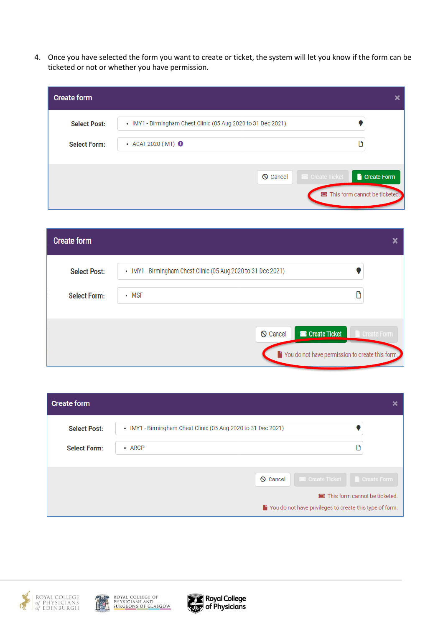4. Once you have selected the form you want to create or ticket, the system will let you know if the form can be ticketed or not or whether you have permission.

| <b>Create form</b>                         |                                                                                                 |             |
|--------------------------------------------|-------------------------------------------------------------------------------------------------|-------------|
| <b>Select Post:</b><br><b>Select Form:</b> | • IMY1 - Birmingham Chest Clinic (05 Aug 2020 to 31 Dec 2021)<br>• ACAT 2020 (IMT) <sup>6</sup> |             |
|                                            | <b>E</b> Create Ticket<br>$\bigcirc$ Cancel<br>This form cannot be ticketed.                    | Create Form |

| <b>Create form</b>  |                                                               |             |
|---------------------|---------------------------------------------------------------|-------------|
| <b>Select Post:</b> | • IMY1 - Birmingham Chest Clinic (05 Aug 2020 to 31 Dec 2021) |             |
| <b>Select Form:</b> | • MSF                                                         |             |
|                     | <b>B</b> Create Ticket<br><b>S</b> Cancel                     | Create Form |
|                     | Since You do not have permission to create this form.         |             |

| <b>Create form</b>  |                                                                                          |
|---------------------|------------------------------------------------------------------------------------------|
| <b>Select Post:</b> | • IMY1 - Birmingham Chest Clinic (05 Aug 2020 to 31 Dec 2021)                            |
| <b>Select Form:</b> | М<br>• ARCP                                                                              |
|                     | <b>E</b> Create Ticket <b>C</b> Create Form<br><b>Q</b> Cancel                           |
|                     | This form cannot be ticketed.<br>You do not have privileges to create this type of form. |